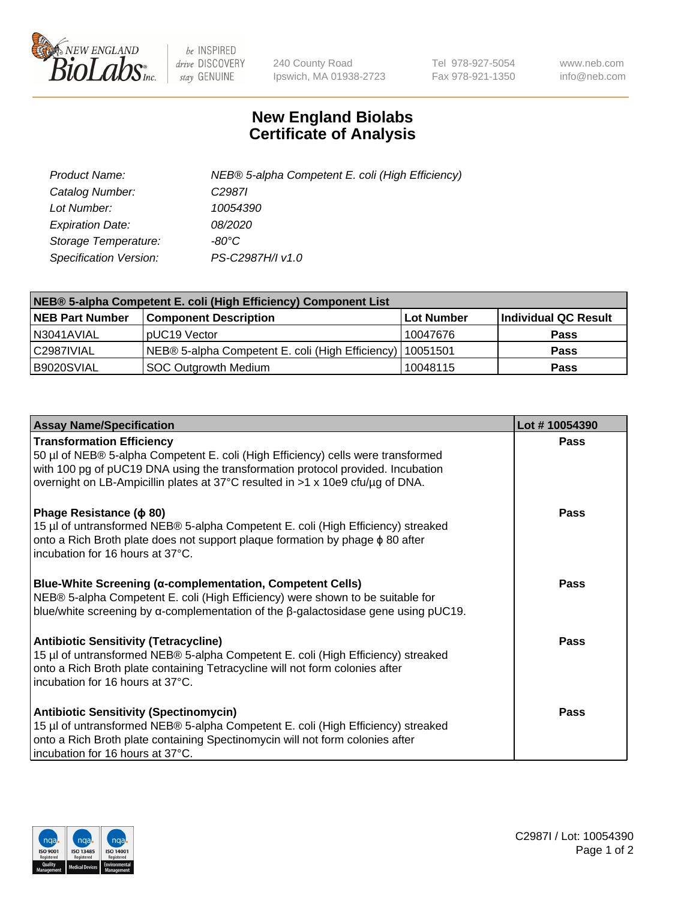

 $be$  INSPIRED drive DISCOVERY stay GENUINE

240 County Road Ipswich, MA 01938-2723 Tel 978-927-5054 Fax 978-921-1350 www.neb.com info@neb.com

## **New England Biolabs Certificate of Analysis**

| Product Name:           | NEB® 5-alpha Competent E. coli (High Efficiency) |
|-------------------------|--------------------------------------------------|
| Catalog Number:         | C <sub>2987</sub>                                |
| Lot Number:             | 10054390                                         |
| <b>Expiration Date:</b> | <i>08/2020</i>                                   |
| Storage Temperature:    | -80°C                                            |
| Specification Version:  | PS-C2987H/I v1.0                                 |

| NEB® 5-alpha Competent E. coli (High Efficiency) Component List |                                                  |            |                      |  |
|-----------------------------------------------------------------|--------------------------------------------------|------------|----------------------|--|
| <b>NEB Part Number</b>                                          | <b>Component Description</b>                     | Lot Number | Individual QC Result |  |
| N3041AVIAL                                                      | pUC19 Vector                                     | 10047676   | <b>Pass</b>          |  |
| C2987IVIAL                                                      | NEB® 5-alpha Competent E. coli (High Efficiency) | 10051501   | <b>Pass</b>          |  |
| B9020SVIAL                                                      | <b>SOC Outgrowth Medium</b>                      | 10048115   | <b>Pass</b>          |  |

| <b>Assay Name/Specification</b>                                                                                                                                                                                                                                                           | Lot #10054390 |
|-------------------------------------------------------------------------------------------------------------------------------------------------------------------------------------------------------------------------------------------------------------------------------------------|---------------|
| <b>Transformation Efficiency</b><br>50 µl of NEB® 5-alpha Competent E. coli (High Efficiency) cells were transformed<br>with 100 pg of pUC19 DNA using the transformation protocol provided. Incubation<br>overnight on LB-Ampicillin plates at 37°C resulted in >1 x 10e9 cfu/µg of DNA. | <b>Pass</b>   |
| Phage Resistance ( $\phi$ 80)<br>15 µl of untransformed NEB® 5-alpha Competent E. coli (High Efficiency) streaked<br>onto a Rich Broth plate does not support plaque formation by phage $\phi$ 80 after<br>incubation for 16 hours at 37°C.                                               | Pass          |
| Blue-White Screening (α-complementation, Competent Cells)<br>NEB® 5-alpha Competent E. coli (High Efficiency) were shown to be suitable for<br>blue/white screening by $\alpha$ -complementation of the $\beta$ -galactosidase gene using pUC19.                                          | Pass          |
| <b>Antibiotic Sensitivity (Tetracycline)</b><br>15 µl of untransformed NEB® 5-alpha Competent E. coli (High Efficiency) streaked<br>onto a Rich Broth plate containing Tetracycline will not form colonies after<br>incubation for 16 hours at 37°C.                                      | Pass          |
| <b>Antibiotic Sensitivity (Spectinomycin)</b><br>15 µl of untransformed NEB® 5-alpha Competent E. coli (High Efficiency) streaked<br>onto a Rich Broth plate containing Spectinomycin will not form colonies after<br>incubation for 16 hours at 37°C.                                    | <b>Pass</b>   |